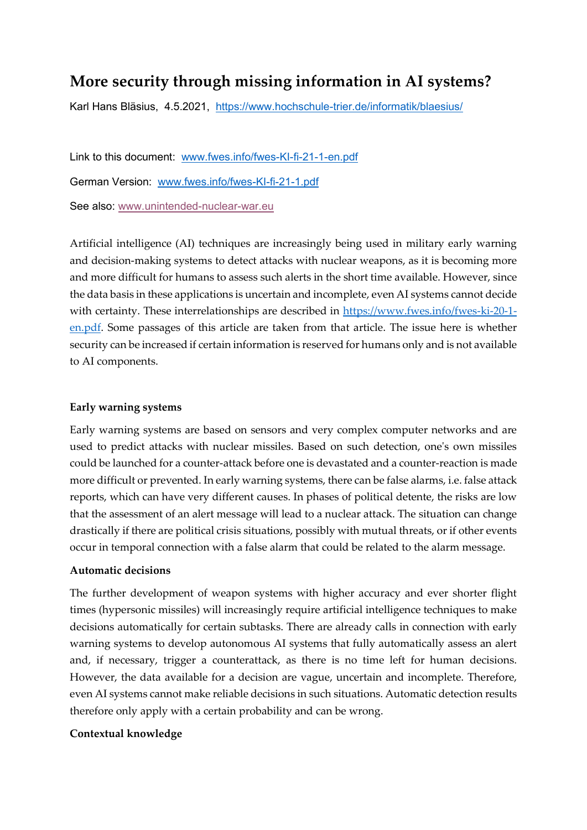# **More security through missing information in AI systems?**

Karl Hans Bläsius, 4.5.2021, <https://www.hochschule-trier.de/informatik/blaesius/>

Link to this document: [www.fwes.info/fwes-KI-fi-21-1-en.pdf](http://www.fwes.info/fwes-KI-fi-21-1-en.pdf) German Version: [www.fwes.info/fwes-KI-fi-21-1.pdf](http://www.fwes.info/fwes-KI-fi-21-1.pdf)

See also: [www.unintended-nuclear-war.eu](http://www.unintended-nuclear-war.eu/)

Artificial intelligence (AI) techniques are increasingly being used in military early warning and decision-making systems to detect attacks with nuclear weapons, as it is becoming more and more difficult for humans to assess such alerts in the short time available. However, since the data basis in these applications is uncertain and incomplete, even AI systems cannot decide with certainty. These interrelationships are described in [https://www.fwes.info/fwes-ki-20-1](https://www.fwes.info/fwes-ki-20-1-en.pdf) [en.pdf.](https://www.fwes.info/fwes-ki-20-1-en.pdf) Some passages of this article are taken from that article. The issue here is whether security can be increased if certain information is reserved for humans only and is not available to AI components.

### **Early warning systems**

Early warning systems are based on sensors and very complex computer networks and are used to predict attacks with nuclear missiles. Based on such detection, one's own missiles could be launched for a counter-attack before one is devastated and a counter-reaction is made more difficult or prevented. In early warning systems, there can be false alarms, i.e. false attack reports, which can have very different causes. In phases of political detente, the risks are low that the assessment of an alert message will lead to a nuclear attack. The situation can change drastically if there are political crisis situations, possibly with mutual threats, or if other events occur in temporal connection with a false alarm that could be related to the alarm message.

## **Automatic decisions**

The further development of weapon systems with higher accuracy and ever shorter flight times (hypersonic missiles) will increasingly require artificial intelligence techniques to make decisions automatically for certain subtasks. There are already calls in connection with early warning systems to develop autonomous AI systems that fully automatically assess an alert and, if necessary, trigger a counterattack, as there is no time left for human decisions. However, the data available for a decision are vague, uncertain and incomplete. Therefore, even AI systems cannot make reliable decisions in such situations. Automatic detection results therefore only apply with a certain probability and can be wrong.

## **Contextual knowledge**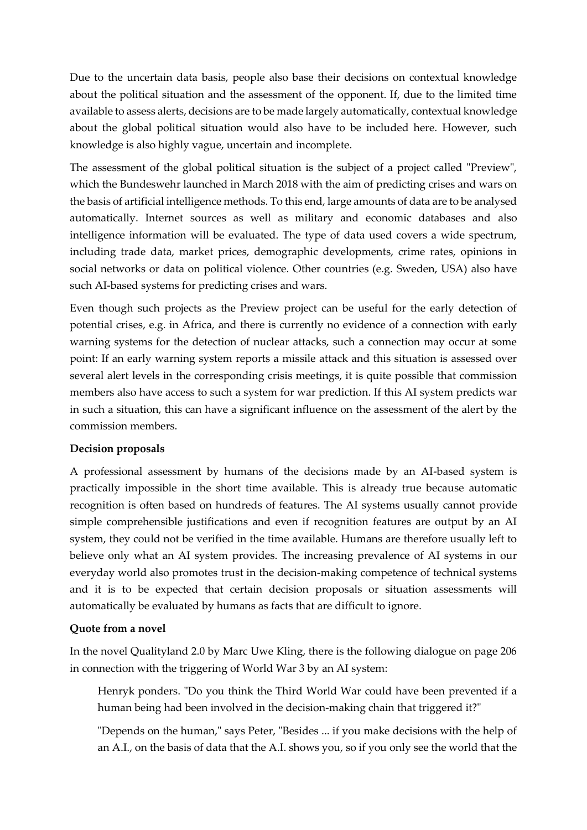Due to the uncertain data basis, people also base their decisions on contextual knowledge about the political situation and the assessment of the opponent. If, due to the limited time available to assess alerts, decisions are to be made largely automatically, contextual knowledge about the global political situation would also have to be included here. However, such knowledge is also highly vague, uncertain and incomplete.

The assessment of the global political situation is the subject of a project called "Preview", which the Bundeswehr launched in March 2018 with the aim of predicting crises and wars on the basis of artificial intelligence methods. To this end, large amounts of data are to be analysed automatically. Internet sources as well as military and economic databases and also intelligence information will be evaluated. The type of data used covers a wide spectrum, including trade data, market prices, demographic developments, crime rates, opinions in social networks or data on political violence. Other countries (e.g. Sweden, USA) also have such AI-based systems for predicting crises and wars.

Even though such projects as the Preview project can be useful for the early detection of potential crises, e.g. in Africa, and there is currently no evidence of a connection with early warning systems for the detection of nuclear attacks, such a connection may occur at some point: If an early warning system reports a missile attack and this situation is assessed over several alert levels in the corresponding crisis meetings, it is quite possible that commission members also have access to such a system for war prediction. If this AI system predicts war in such a situation, this can have a significant influence on the assessment of the alert by the commission members.

## **Decision proposals**

A professional assessment by humans of the decisions made by an AI-based system is practically impossible in the short time available. This is already true because automatic recognition is often based on hundreds of features. The AI systems usually cannot provide simple comprehensible justifications and even if recognition features are output by an AI system, they could not be verified in the time available. Humans are therefore usually left to believe only what an AI system provides. The increasing prevalence of AI systems in our everyday world also promotes trust in the decision-making competence of technical systems and it is to be expected that certain decision proposals or situation assessments will automatically be evaluated by humans as facts that are difficult to ignore.

## **Quote from a novel**

In the novel Qualityland 2.0 by Marc Uwe Kling, there is the following dialogue on page 206 in connection with the triggering of World War 3 by an AI system:

Henryk ponders. "Do you think the Third World War could have been prevented if a human being had been involved in the decision-making chain that triggered it?"

"Depends on the human," says Peter, "Besides ... if you make decisions with the help of an A.I., on the basis of data that the A.I. shows you, so if you only see the world that the